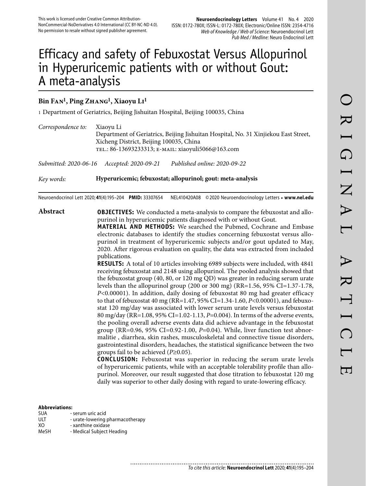# Efficacy and safety of Febuxostat Versus Allopurinol in Hyperuricemic patients with or without Gout: A meta-analysis

# **Bin Fan1, Ping Zhang1, Xiaoyu Li1**

1 Department of Geriatrics, Beijing Jishuitan Hospital, Beijing 100035, China

| Correspondence to:    | Xiaoyu Li<br>Xicheng District, Beijing 100035, China<br>TEL.: 86-13693233313; E-MAIL: xiaoyuli5066@163.com | Department of Geriatrics, Beijing Jishuitan Hospital, No. 31 Xinjiekou East Street,                                                                                                                                                  |
|-----------------------|------------------------------------------------------------------------------------------------------------|--------------------------------------------------------------------------------------------------------------------------------------------------------------------------------------------------------------------------------------|
| Submitted: 2020-06-16 | Accepted: 2020-09-21                                                                                       | Published online: 2020-09-22                                                                                                                                                                                                         |
| Key words:            | Hyperuricemic; febuxostat; allopurinol; gout: meta-analysis                                                |                                                                                                                                                                                                                                      |
|                       | Neuroendocrinol Lett 2020; 41(4):195-204 PMID: 33307654                                                    | NEL410420A08 © 2020 Neuroendocrinology Letters • www.nel.edu                                                                                                                                                                         |
| Abstract              |                                                                                                            | <b>OBJECTIVES:</b> We conducted a meta-analysis to compare the febuxostat and allo-<br>purinol in hyperuricemic patients diagnosed with or without Gout.<br><b>MATERIAL AND METHODS.</b> We consided the Delayed Cockwane and Embros |

**MATERIAL AND METHODS:** We searched the Pubmed, Cochrane and Embase electronic databases to identify the studies concerning febuxostat versus allopurinol in treatment of hyperuricemic subjects and/or gout updated to May, 2020. After rigorous evaluation on quality, the data was extracted from included publications.

**RESULTS:** A total of 10 articles involving 6989 subjects were included, with 4841 receiving febuxostat and 2148 using allopurinol. The pooled analysis showed that the febuxostat group (40, 80, or 120 mg QD) was greater in reducing serum urate levels than the allopurinol group (200 or 300 mg) (RR=1.56, 95% CI=1.37-1.78, *P*<0.00001). In addition, daily dosing of febuxostat 80 mg had greater efficacy to that of febuxostat 40 mg (RR=1.47, 95% CI=1.34-1.60, *P*<0.00001), and febuxostat 120 mg/day was associated with lower serum urate levels versus febuxostat 80 mg/day (RR=1.08, 95% CI=1.02-1.13, *P*=0.004). In terms of the adverse events, the pooling overall adverse events data did achieve advantage in the febuxostat group (RR=0.96, 95% CI=0.92-1.00, *P*=0.04). While, liver function test abnormalitie , diarrhea, skin rashes, musculoskeletal and connective tissue disorders, gastrointestinal disorders, headaches, the statistical significance between the two groups fail to be achieved (*P*≥0.05).

**CONCLUSION:** Febuxostat was superior in reducing the serum urate levels of hyperuricemic patients, while with an acceptable tolerability profile than allopurinol. Moreover, our result suggested that dose titration to febuxostat 120 mg daily was superior to other daily dosing with regard to urate-lowering efficacy.

## **Abbreviations:**

- SUA serum uric acid
- ULT urate-lowering pharmacotherapy<br>XO xanthine oxidase
- XO xanthine oxidase<br>MeSH Medical Subiect F
- Medical Subject Heading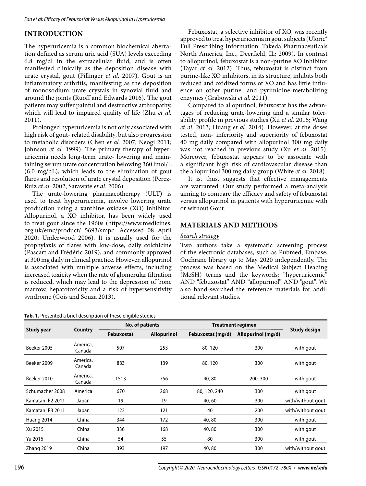# **INTRODUCTION**

The hyperuricemia is a common biochemical aberration defined as serum uric acid (SUA) levels exceeding 6.8 mg/dl in the extracellular fluid, and is often manifested clinically as the deposition disease with urate crystal, gout (Pillinger *et al.* 2007). Gout is an inflammatory arthritis, manifesting as the deposition of monosodium urate crystals in synovial fluid and around the joints (Ruoff and Edwards 2016). The gout patients may suffer painful and destructive arthropathy, which will lead to impaired quality of life (Zhu *et al.* 2011).

Prolonged hyperuricemia is not only associated with high risk of gout- related disability, but also progression to metabolic disorders (Chen *et al.* 2007; Neogi 2011; Johnson *et al.* 1999). The primary therapy of hyperuricemia needs long-term urate- lowering and maintaining serum urate concentration belowing 360 lmol/L (6.0 mg/dL), which leads to the elimination of gout flares and resolution of urate crystal deposition (Perez-Ruiz *et al.* 2002; Sarawate *et al.* 2006).

The urate-lowering pharmacotherapy (ULT) is used to treat hyperuricemia, involve lowering urate production using a xanthine oxidase (XO) inhibitor. Allopurinol, a XO inhibitor, has been widely used to treat gout since the 1960s (https://www.medicines. org.uk/emc/product/ 5693/smpc. Accessed 08 April 2020; Underwood 2006). It is usually used for the prophylaxis of flares with low-dose, daily colchicine (Pascart and Frédéric 2019), and commonly approved at 300 mg daily in clinical practice. However, allopurinol is associated with multiple adverse effects, including increased toxicity when the rate of glomerular filtration is reduced, which may lead to the depression of bone marrow, hepatotoxicity and a risk of hypersensitivity syndrome (Gois and Souza 2013).

**Tab. 1.** Presented a brief description of these eligible studies

Febuxostat, a selective inhibitor of XO, was recently approved to treat hyperuricemia in gout subjects (Uloric® Full Prescribing Information. Takeda Pharmaceuticals North America, Inc., Deerfield, IL; 2009). In contrast to allopurinol, febuxostat is a non-purine XO inhibitor (Tayar *et al.* 2012). Thus, febuxostat is distinct from purine-like XO inhibitors, in its structure, inhibits both reduced and oxidized forms of XO and has little influence on other purine- and pyrimidine-metabolizing enzymes (Grabowski *et al.* 2011).

Compared to allopurinol, febuxostat has the advantages of reducing urate-lowering and a similar tolerability profile in previous studies (Xu *et al.* 2015; Wang *et al.* 2013; Huang *et al.* 2014). However, at the doses tested, non- inferiority and superiority of febuxostat 40 mg daily compared with allopurinol 300 mg daily was not reached in previous study (Xu *et al.* 2015). Moreover, febuxostat appears to be associate with a significant high risk of cardiovascular disease than the allopurinol 300 mg daily group (White *et al.* 2018).

It is, thus, suggests that effective managements are warranted. Our study performed a meta-analysis aiming to compare the efficacy and safety of febuxostat versus allopurinol in patients with hyperuricemic with or without Gout.

## **MATERIALS AND METHODS**

#### *Search strategy*

Two authors take a systematic screening process of the electronic databases, such as Pubmed, Embase, Cochrane library up to May 2020 independently. The process was based on the Medical Subject Heading (MeSH) terms and the keywords: "hyperuricemic" AND "febuxostat" AND "allopurinol" AND "gout". We also hand-searched the reference materials for additional relevant studies.

|                  |                    |            | No. of patients    | <b>Treatment regimen</b> |                    |                     |  |
|------------------|--------------------|------------|--------------------|--------------------------|--------------------|---------------------|--|
| Study year       | Country            | Febuxostat | <b>Allopurinol</b> | Febuxostat (mg/d)        | Allopurinol (mg/d) | <b>Study design</b> |  |
| Beeker 2005      | America,<br>Canada | 507        | 253                | 80, 120                  | 300                | with gout           |  |
| Beeker 2009      | America,<br>Canada | 883        | 139                | 80, 120                  | 300                | with gout           |  |
| Beeker 2010      | America,<br>Canada | 1513       | 756                | 40,80                    | 200, 300           | with gout           |  |
| Schumacher 2008  | America            | 670        | 268                | 80, 120, 240             | 300                | with gout           |  |
| Kamatani P2 2011 | Japan              | 19         | 19                 | 40,60                    | 300                | with/without gout   |  |
| Kamatani P3 2011 | Japan              | 122        | 121                | 40                       | 200                | with/without gout   |  |
| Huang 2014       | China              | 344        | 172                | 40,80                    | 300                | with gout           |  |
| Xu 2015          | China              | 336        | 168                | 40,80                    | 300                | with gout           |  |
| Yu 2016          | China              | 54         | 55                 | 80                       | 300                | with gout           |  |
| Zhang 2019       | China              | 393        | 197                | 40,80                    | 300                | with/without gout   |  |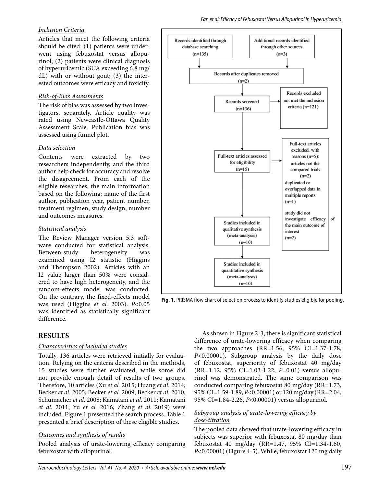# *Inclusion Criteria*

Articles that meet the following criteria should be cited: (1) patients were underwent using febuxostat versus allopurinol; (2) patients were clinical diagnosis of hyperuricemic (SUA exceeding 6.8 mg/ dL) with or without gout; (3) the interested outcomes were efficacy and toxicity.

## *Risk-of-Bias Assessments*

The risk of bias was assessed by two investigators, separately. Article quality was rated using Newcastle-Ottawa Quality Assessment Scale. Publication bias was assessed using funnel plot.

## *Data selection*

Contents were extracted by two researchers independently, and the third author help check for accuracy and resolve the disagreement. From each of the eligible researches, the main information based on the following: name of the first author, publication year, patient number, treatment regimen, study design, number and outcomes measures.

# *Statistical analysis*

The Review Manager version 5.3 software conducted for statistical analysis.<br>Between-study heterogeneity was Between-study heterogeneity was examined using I2 statistic (Higgins and Thompson 2002). Articles with an I2 value larger than 50% were considered to have high heterogeneity, and the random-effects model was conducted. On the contrary, the fixed-effects model was used (Higgins *et al.* 2003). *P*<0.05 was identified as statistically significant difference.

# **RESULTS**

# *Characteristics of included studies*

Totally, 136 articles were retrieved initially for evaluation. Relying on the criteria described in the methods, 15 studies were further evaluated, while some did not provide enough detail of results of two groups. Therefore, 10 articles (Xu *et al.* 2015; Huang *et al.* 2014; Becker *et al.* 2005; Becker *et al.* 2009; Becker *et al.* 2010; Schumacher *et al.* 2008; Kamatani *et al.* 2011; Kamatani *et al.* 2011; Yu *et al.* 2016; Zhang *et al.* 2019) were included. Figure 1 presented the search process. Table 1 presented a brief description of these eligible studies.

# *Outcomes and synthesis of results*

Pooled analysis of urate-lowering efficacy comparing febuxostat with allopurinol.



**Fig. 1.** PRISMA flow chart of selection process to identify studies eligible for pooling.

As shown in Figure 2-3, there is significant statistical difference of urate-lowering efficacy when comparing the two approaches  $(RR=1.56, 95\% \text{ CI}=1.37-1.78,$ *P*<0.00001). Subgroup analysis by the daily dose of febuxostat, superiority of febuxostat 40 mg/day (RR=1.12, 95% CI=1.03-1.22, *P*=0.01) versus allopurinol was demonstrated. The same comparison was conducted comparing febuxostat 80 mg/day (RR=1.73, 95% CI=1.59-1.89, *P*<0.00001) or 120 mg/day (RR=2.04, 95% CI=1.84-2.26, *P*<0.00001) versus allopurinol.

## *Subgroup analysis of urate-lowering efficacy by dose-titration*

The pooled data showed that urate-lowering efficacy in subjects was superior with febuxostat 80 mg/day than febuxostat 40 mg/day (RR=1.47, 95% CI=1.34-1.60, *P*<0.00001) (Figure 4-5). While, febuxostat 120 mg daily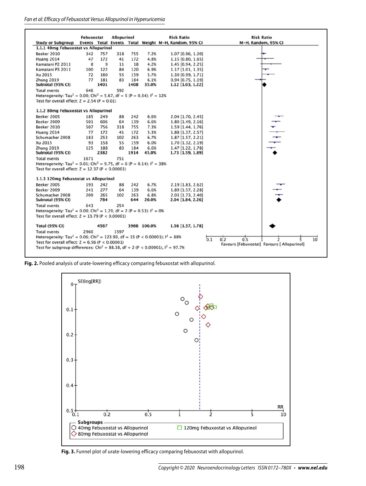#### Fan et al: Efficacy of Febuxostat Versus Allopurinol in Hyperuricemia



**Fig. 2.** Pooled analysis of urate-lowering efficacy comparing febuxostat with allopurinol.



**Fig. 3.** Funnel plot of urate-lowering efficacy comparing febuxostat with allopurinol.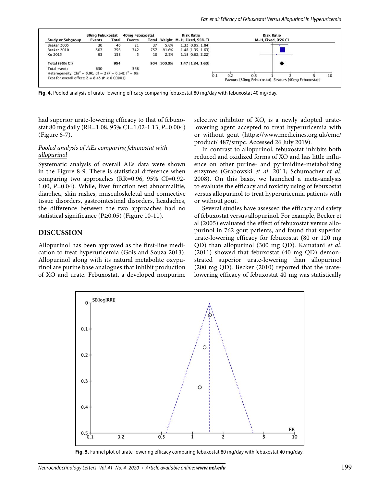

**Fig. 4.** Pooled analysis of urate-lowering efficacy comparing febuxostat 80 mg/day with febuxostat 40 mg/day.

had superior urate-lowering efficacy to that of febuxostat 80 mg daily (RR=1.08, 95% CI=1.02-1.13, *P*=0.004) (Figure 6-7).

#### *Pooled analysis of AEs comparing febuxostat with allopurinol*

Systematic analysis of overall AEs data were shown in the Figure 8-9. There is statistical difference when comparing two approaches (RR=0.96, 95% CI=0.92- 1.00, *P*=0.04). While, liver function test abnormalitie, diarrhea, skin rashes, musculoskeletal and connective tissue disorders, gastrointestinal disorders, headaches, the difference between the two approaches had no statistical significance (P≥0.05) (Figure 10-11).

#### **DISCUSSION**

Allopurinol has been approved as the first-line medication to treat hyperuricemia (Gois and Souza 2013). Allopurinol along with its natural metabolite oxypurinol are purine base analogues that inhibit production of XO and urate. Febuxostat, a developed nonpurine selective inhibitor of XO, is a newly adopted uratelowering agent accepted to treat hyperuricemia with or without gout (https://www.medicines.org.uk/emc/ product/ 487/smpc. Accessed 26 July 2019).

In contrast to allopurinol, febuxostat inhibits both reduced and oxidized forms of XO and has little influence on other purine- and pyrimidine-metabolizing enzymes (Grabowski *et al.* 2011; Schumacher *et al.* 2008). On this basis, we launched a meta-analysis to evaluate the efficacy and toxicity using of febuxostat versus allopurinol to treat hyperuricemia patients with or without gout.

Several studies have assessed the efficacy and safety of febuxostat versus allopurinol. For example, Becker et al (2005) evaluated the effect of febuxostat versus allopurinol in 762 gout patients, and found that superior urate-lowering efficacy for febuxostat (80 or 120 mg QD) than allopurinol (300 mg QD). Kamatani *et al.* (2011) showed that febuxostat (40 mg QD) demonstrated superior urate-lowering than allopurinol (200 mg QD). Becker (2010) reported that the uratelowering efficacy of febuxostat 40 mg was statistically



**Fig. 5.** Funnel plot of urate-lowering efficacy comparing febuxostat 80 mg/day with febuxostat 40 mg/day.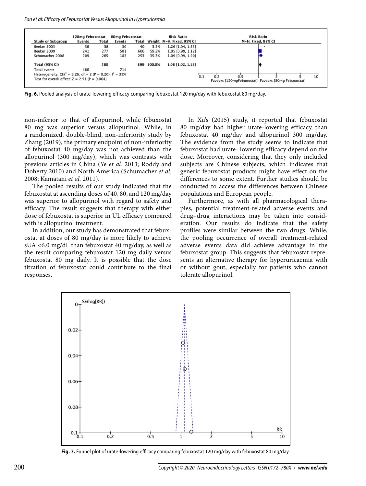

**Fig. 6.** Pooled analysis of urate-lowering efficacy comparing febuxostat 120 mg/day with febuxostat 80 mg/day.

non-inferior to that of allopurinol, while febuxostat 80 mg was superior versus allopurinol. While, in a randomized, double-blind, non-inferiority study by Zhang (2019), the primary endpoint of non-inferiority of febuxostat 40 mg/day was not achieved than the allopurinol (300 mg/day), which was contrasts with previous articles in China (Ye *et al.* 2013; Roddy and Doherty 2010) and North America (Schumacher *et al.* 2008; Kamatani *et al.* 2011).

The pooled results of our study indicated that the febuxostat at ascending doses of 40, 80, and 120 mg/day was superior to allopurinol with regard to safety and efficacy. The result suggests that therapy with either dose of febuxostat is superior in UL efficacy compared with is allopurinol treatment.

In addition, our study has demonstrated that febuxostat at doses of 80 mg/day is more likely to achieve sUA <6.0 mg/dL than febuxostat 40 mg/day, as well as the result comparing febuxostat 120 mg daily versus febuxostat 80 mg daily. It is possible that the dose titration of febuxostat could contribute to the final responses.

In Xu's (2015) study, it reported that febuxostat 80 mg/day had higher urate-lowering efficacy than febuxostat 40 mg/day and allopurinol 300 mg/day. The evidence from the study seems to indicate that febuxostat had urate- lowering efficacy depend on the dose. Moreover, considering that they only included subjects are Chinese subjects, which indicates that generic febuxostat products might have effect on the differences to some extent. Further studies should be conducted to access the differences between Chinese populations and European people.

Furthermore, as with all pharmacological therapies, potential treatment-related adverse events and drug–drug interactions may be taken into consideration. Our results do indicate that the safety profiles were similar between the two drugs. While, the pooling occurrence of overall treatment-related adverse events data did achieve advantage in the febuxostat group. This suggests that febuxostat represents an alternative therapy for hyperuricaemia with or without gout, especially for patients who cannot tolerate allopurinol.



Fig. 7. Funnel plot of urate-lowering efficacy comparing febuxostat 120 mg/day with febuxostat 80 mg/day.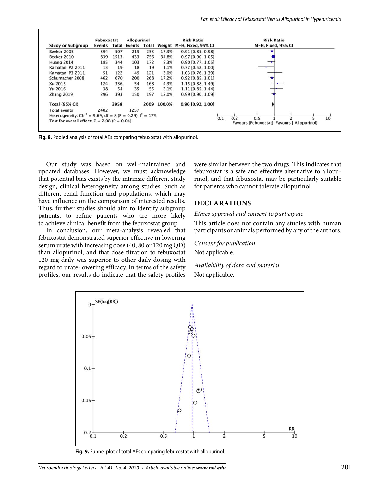|                                                                         | Febuxostat |      | <b>Allopurinol</b>        |     | <b>Risk Ratio</b> |                           |     | <b>Risk Ratio</b>                                         |  |  |                 |
|-------------------------------------------------------------------------|------------|------|---------------------------|-----|-------------------|---------------------------|-----|-----------------------------------------------------------|--|--|-----------------|
| <b>Study or Subgroup</b>                                                |            |      | Events Total Events Total |     |                   | Weight M-H, Fixed, 95% CI |     | M-H, Fixed, 95% CI                                        |  |  |                 |
| Beeker 2005                                                             | 394        | 507  | 215                       | 253 | 17.3%             | 0.91 [0.85, 0.98]         |     |                                                           |  |  |                 |
| Beeker 2010                                                             | 839        | 1513 | 433                       | 756 | 34.8%             | $0.97$ [0.90, 1.05]       |     |                                                           |  |  |                 |
| Huang 2014                                                              | 185        | 344  | 103                       | 172 | 8.3%              | $0.90$ [0.77, 1.05]       |     |                                                           |  |  |                 |
| Kamatani P2 2011                                                        | 13         | 19   | 18                        | 19  | 1.1%              | $0.72$ [0.52, 1.00]       |     |                                                           |  |  |                 |
| Kamatani P3 2011                                                        | 51         | 122  | 49                        | 121 | 3.0%              | 1.03 [0.76, 1.39]         |     |                                                           |  |  |                 |
| Schumacher 2008                                                         | 462        | 670  | 200                       | 268 | 17.2%             | $0.92$ [0.85, 1.01]       |     |                                                           |  |  |                 |
| Xu 2015                                                                 | 124        | 336  | 54                        | 168 | 4.3%              | 1.15 [0.88, 1.49]         |     |                                                           |  |  |                 |
| Yu 2016                                                                 | 38         | 54   | 35                        | 55  | 2.1%              | $1.11$ [0.85, 1.44]       |     |                                                           |  |  |                 |
| Zhang 2019                                                              | 296        | 393  | 150                       | 197 | 12.0%             | $0.99$ [0.90, 1.09]       |     |                                                           |  |  |                 |
| <b>Total (95% CI)</b>                                                   |            | 3958 |                           |     | 2009 100.0%       | 0.96 [0.92, 1.00]         |     |                                                           |  |  |                 |
| <b>Total events</b>                                                     | 2402       |      | 1257                      |     |                   |                           |     |                                                           |  |  |                 |
| Heterogeneity: Chi <sup>2</sup> = 9.69, df = 8 (P = 0.29); $I^2 = 17\%$ |            |      |                           |     |                   |                           |     |                                                           |  |  |                 |
| Test for overall effect: $Z = 2.08$ (P = 0.04)                          |            |      |                           |     |                   |                           | 0.1 | 0.2<br>0.5<br>Favours [Febuxostat] Favours [ Allopurinol] |  |  | 10 <sup>°</sup> |

**Fig. 8.** Pooled analysis of total AEs comparing febuxostat with allopurinol.

Our study was based on well-maintained and updated databases. However, we must acknowledge that potential bias exists by the intrinsic different study design, clinical heterogeneity among studies. Such as different renal function and populations, which may have influence on the comparison of interested results. Thus, further studies should aim to identify subgroup patients, to refine patients who are more likely to achieve clinical benefit from the febuxostat group.

In conclusion, our meta-analysis revealed that febuxostat demonstrated superior effective in lowering serum urate with increasing dose (40, 80 or 120 mg QD) than allopurinol, and that dose titration to febuxostat 120 mg daily was superior to other daily dosing with regard to urate-lowering efficacy. In terms of the safety profiles, our results do indicate that the safety profiles were similar between the two drugs. This indicates that febuxostat is a safe and effective alternative to allopurinol, and that febuxostat may be particularly suitable for patients who cannot tolerate allopurinol.

## **DECLARATIONS**

#### *Ethics approval and consent to participate*

This article does not contain any studies with human participants or animals performed by any of the authors.

#### *Consent for publication*

Not applicable.

*Availability of data and material* Not applicable.



**Fig. 9.** Funnel plot of total AEs comparing febuxostat with allopurinol.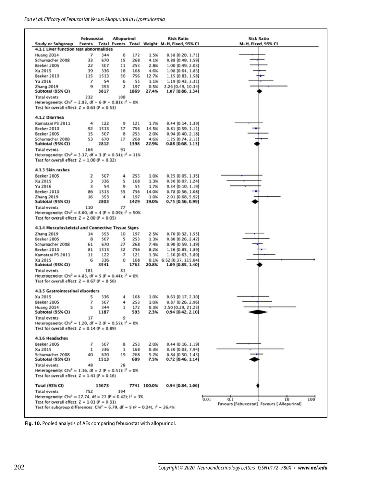|                                                                                                | Febuxostat |             | <b>Allopurinol</b>       |            |               | <b>Risk Ratio</b>                                   | <b>Risk Ratio</b>                           |
|------------------------------------------------------------------------------------------------|------------|-------------|--------------------------|------------|---------------|-----------------------------------------------------|---------------------------------------------|
| <b>Study or Subgroup</b>                                                                       |            |             |                          |            |               | Events Total Events Total Weight M-H, Fixed, 95% CI | M-H, Fixed, 95% CI                          |
| 4.1.1 Liver function test abnormalities                                                        |            |             |                          |            |               |                                                     |                                             |
| <b>Huang 2014</b>                                                                              | 7          | 344         | 6                        | 172        | 1.5%          | $0.58$ [0.20, 1.71]                                 |                                             |
| Schumacher 2008                                                                                | 33         | 670         | 15                       | 268        | 4.1%          | $0.88$ [0.49, 1.59]                                 |                                             |
| Beeker 2005                                                                                    | 22         | 507         | 11                       | 253        | 2.8%          | 1.00 [0.49, 2.03]                                   |                                             |
| Xu 2015                                                                                        | 39         | 336         | 18                       | 168        | 4.6%          | 1.08 [0.64, 1.83]                                   |                                             |
| Beeker 2010<br>Yu 2016                                                                         | 115<br>7   | 1513<br>54  | 50<br>6                  | 756<br>55  | 12.7%<br>1.1% | 1.15 [0.83, 1.58]                                   |                                             |
| Zhang 2019                                                                                     | 9          | 393         | $\overline{c}$           | 197        | 0.5%          | 1.19 [0.43, 3.31]                                   |                                             |
| Subtotal (95% CI)                                                                              |            | 3817        |                          | 1869       | 27.4%         | 2.26 [0.49, 10.34]<br>1.07 [0.86, 1.34]             |                                             |
| <b>Total events</b>                                                                            | 232        |             | 108                      |            |               |                                                     |                                             |
| Heterogeneity: Chi <sup>2</sup> = 2.83, df = 6 (P = 0.83); l <sup>2</sup> = 0%                 |            |             |                          |            |               |                                                     |                                             |
| Test for overall effect: $Z = 0.63$ ( $P = 0.53$ )                                             |            |             |                          |            |               |                                                     |                                             |
|                                                                                                |            |             |                          |            |               |                                                     |                                             |
| 4.1.2 Diarrhea                                                                                 |            |             |                          |            |               |                                                     |                                             |
| Kamatani P3 2011                                                                               | 4          | 122         | 9                        | 121        | 1.7%          | $0.44$ [0.14, 1.39]                                 |                                             |
| Beeker 2010                                                                                    | 92         | 1513        | 57                       | 756        | 14.5%         | $0.81$ [0.59, 1.11]                                 |                                             |
| Beeker 2005                                                                                    | 15         | 507         | 8                        | 253        | 2.0%          | $0.94$ [0.40, 2.18]                                 |                                             |
| Schumacher 2008                                                                                | 53         | 670         | 17                       | 268        | 4.6%          | $1.25$ [0.74, 2.11]                                 |                                             |
| Subtotal (95% CI)                                                                              |            | 2812        |                          | 1398       | 22.9%         | $0.88$ [0.68, 1.13]                                 |                                             |
| <b>Total events</b>                                                                            | 164        |             | 91                       |            |               |                                                     |                                             |
| Heterogeneity: Chi <sup>2</sup> = 3.37, df = 3 (P = 0.34); $I^2 = 11\%$                        |            |             |                          |            |               |                                                     |                                             |
| Test for overall effect: $Z = 1.00 (P = 0.32)$                                                 |            |             |                          |            |               |                                                     |                                             |
|                                                                                                |            |             |                          |            |               |                                                     |                                             |
| 4.1.3 Skin rashes                                                                              |            |             |                          |            |               |                                                     |                                             |
| Beeker 2005                                                                                    | 2          | 507         | 4                        | 253        | 1.0%          | 0.25 [0.05, 1.35]                                   |                                             |
| Xu 2015                                                                                        | 3          | 336         | 5                        | 168        | 1.3%          | $0.30$ [0.07, 1.24]                                 |                                             |
| Yu 2016                                                                                        | 3          | 54          | 9                        | 55         | 1.7%          | $0.34$ [0.10, 1.19]                                 |                                             |
| Beeker 2010                                                                                    | 86         | 1513        | 55                       | 756        | 14.0%         | $0.78$ [0.56, 1.08]                                 |                                             |
| <b>Zhang 2019</b>                                                                              | 16         | 393         | 4                        | 197        | 1.0%          | 2.01 [0.68, 5.92]                                   |                                             |
| Subtotal (95% CI)                                                                              |            | 2803        |                          | 1429       | 19.0%         | 0.75 [0.56, 0.99]                                   |                                             |
| <b>Total events</b>                                                                            | 110        |             | 77                       |            |               |                                                     |                                             |
| Heterogeneity: Chi <sup>2</sup> = 8.00, df = 4 (P = 0.09); $I^2$ = 50%                         |            |             |                          |            |               |                                                     |                                             |
| Test for overall effect: $Z = 2.00$ (P = 0.05)                                                 |            |             |                          |            |               |                                                     |                                             |
| 4.1.4 Musculoskeletal and Connective Tissue Signs                                              |            |             |                          |            |               |                                                     |                                             |
| <b>Zhang 2019</b>                                                                              | 14         | 393         | 10                       | 197        | 2.5%          | $0.70$ [0.32, 1.55]                                 |                                             |
| Beeker 2005                                                                                    | 8          | 507         | 5                        | 253        | 1.3%          | $0.80$ [0.26, 2.42]                                 |                                             |
| Schumacher 2008                                                                                | 61         | 670         | 27                       | 268        | 7.4%          | 0.90 [0.59, 1.39]                                   |                                             |
| Beeker 2010                                                                                    | 81         | 1513        | 32                       | 756        | 8.2%          | 1.26 [0.85, 1.89]                                   |                                             |
| Kamatani P3 2011                                                                               | 11         | 122         | $\overline{\phantom{a}}$ | 121        | 1.3%          | 1.56 [0.63, 3.89]                                   |                                             |
| Xu 2015                                                                                        | 6          | 336         | $\Omega$                 | 168        |               | 0.1% 6.52 [0.37, 115.04]                            |                                             |
| Subtotal (95% CI)                                                                              |            | 3541        |                          | 1763       | 20.8%         | 1.09 [0.85, 1.40]                                   |                                             |
| <b>Total events</b>                                                                            | 181        |             | 81                       |            |               |                                                     |                                             |
| Heterogeneity: Chi <sup>2</sup> = 4.83, df = 5 (P = 0.44); $I^2 = 0$ %                         |            |             |                          |            |               |                                                     |                                             |
| Test for overall effect: $Z = 0.67$ (P = 0.50)                                                 |            |             |                          |            |               |                                                     |                                             |
| <b>4.1.5 Gastrointestinal disorders</b>                                                        |            |             |                          |            |               |                                                     |                                             |
|                                                                                                |            |             |                          |            |               |                                                     |                                             |
| Xu 2015                                                                                        | 5          | 336         | 4                        | 168        | 1.0%          | 0.63 [0.17, 2.30]                                   |                                             |
| Beeker 2005                                                                                    | 7          | 507         | 4                        | 253        | 1.0%          | $0.87$ [0.26, 2.96]                                 |                                             |
| Huang 2014<br>Subtotal (95% CI)                                                                | 5          | 344<br>1187 | ı                        | 172<br>593 | 0.3%<br>2.3%  | 2.50 [0.29, 21.23]<br>0.94 [0.42, 2.10]             |                                             |
| <b>Total events</b>                                                                            | 17         |             | 9                        |            |               |                                                     |                                             |
| Heterogeneity: Chi <sup>2</sup> = 1.20, df = 2 (P = 0.55); $I^2 = 0$ %                         |            |             |                          |            |               |                                                     |                                             |
| Test for overall effect: $Z = 0.14$ (P = 0.89)                                                 |            |             |                          |            |               |                                                     |                                             |
|                                                                                                |            |             |                          |            |               |                                                     |                                             |
| 4.1.6 Headaches                                                                                |            |             |                          |            |               |                                                     |                                             |
| Beeker 2005                                                                                    | 7          | 507         | 8                        | 253        | 2.0%          | $0.44$ [0.16, 1.19]                                 |                                             |
| Xu 2015                                                                                        | 1          | 336         | 1                        | 168        | 0.3%          | 0.50 [0.03, 7.94]                                   |                                             |
| Schumacher 2008                                                                                | 40         | 670         | 19                       | 268        | 5.2%          | $0.84$ [0.50, 1.43]                                 |                                             |
| Subtotal (95% CI)                                                                              |            | 1513        |                          | 689        | 7.5%          | 0.72 [0.46, 1.14]                                   |                                             |
| <b>Total events</b>                                                                            | 48         |             | 28                       |            |               |                                                     |                                             |
| Heterogeneity: Chi <sup>2</sup> = 1.36, df = 2 (P = 0.51): $I^2 = 0$ %                         |            |             |                          |            |               |                                                     |                                             |
| Test for overall effect: $Z = 1.41$ (P = 0.16)                                                 |            |             |                          |            |               |                                                     |                                             |
| <b>Total (95% CI)</b>                                                                          |            | 15673       |                          |            | 7741 100.0%   | $0.94$ [0.84, 1.06]                                 |                                             |
|                                                                                                |            |             | 394                      |            |               |                                                     |                                             |
| <b>Total events</b><br>Heterogeneity: Chi <sup>2</sup> = 27.74, df = 27 (P = 0.42); $I^2$ = 3% | 752        |             |                          |            |               |                                                     |                                             |
| Test for overall effect: $Z = 1.01$ (P = 0.31)                                                 |            |             |                          |            |               |                                                     | 0.01<br>0.1<br>10<br>100                    |
| Test for subgroup differences: Chi <sup>2</sup> = 6.79, df = 5 (P = 0.24), $I^2$ = 26.4%       |            |             |                          |            |               |                                                     | Favours [Febuxostat] Favours [ Allopurinol] |
|                                                                                                |            |             |                          |            |               |                                                     |                                             |

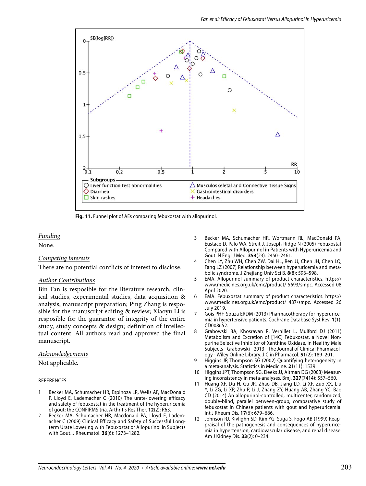

**Fig. 11.** Funnel plot of AEs comparing febuxostat with allopurinol.

## *Funding*

None.

## *Competing interests*

There are no potential conflicts of interest to disclose.

#### *Author Contributions*

Bin Fan is resposible for the literature research, clinical studies, experimental studies, data acquisition & analysis, manuscript preparation; Ping Zhang is resposible for the manuscript editing & review; Xiaoyu Li is resposible for the guarantor of integrity of the entire study, study concepts & design; definition of intellectual content. All authors read and approved the final manuscript.

## *Acknowledgements*

Not applicable.

#### REFERENCES

- 1 Becker MA, Schumacher HR, Espinoza LR, Wells AF, MacDonald P, Lloyd E, Lademacher C (2010) The urate-lowering efficacy and safety of febuxostat in the treatment of the hyperuricemia of gout: the CONFIRMS tria. Arthritis Res Ther. **12**(2): R63.
- 2 Becker MA, Schumacher HR, Macdonald PA, Lloyd E, Lademacher C (2009) Clinical Efficacy and Safety of Successful Longterm Urate Lowering with Febuxostat or Allopurinol in Subjects with Gout. J Rheumatol. **36**(6): 1273–1282.
- 3 Becker MA, Schumacher HR, Wortmann RL, MacDonald PA, Eustace D, Palo WA, Streit J, Joseph-Ridge N (2005) Febuxostat Compared with Allopurinol in Patients with Hyperuricemia and Gout. N Engl J Med. **353**(23): 2450–2461.
- 4 Chen LY, Zhu WH, Chen ZW, Dai HL, Ren JJ, Chen JH, Chen LQ, Fang LZ (2007) Relationship between hyperuricemia and metabolic syndrome. J Zhejiang Univ Sci B. **8**(8): 593–598.
- 5 EMA. Allopurinol summary of product characteristics. https:// www.medicines.org.uk/emc/product/ 5693/smpc. Accessed 08 April 2020.
- 6 EMA. Febuxostat summary of product characteristics. https:// www.medicines.org.uk/emc/product/ 487/smpc. Accessed 26 July 2019.
- 7 Gois PHF, Souza ERDM (2013) Pharmacotherapy for hyperuricemia in hypertensive patients. Cochrane Database Syst Rev. **1**(1): CD008652.
- 8 Grabowski BA, Khosravan R, Vernillet L, Mulford DJ (2011) Metabolism and Excretion of [14C] Febuxostat, a Novel Nonpurine Selective Inhibitor of Xanthine Oxidase, in Healthy Male Subjects - Grabowski - 2013 - The Journal of Clinical Pharmacology - Wiley Online Library. J Clin Pharmacol. **51**(2): 189–201.
- 9 Higgins JP, Thompson SG (2002) Quantifying heterogeneity in a meta-analysis. Statistics in Medicine. **21**(11): 1539.
- Higgins JPT, Thompson SG, Deeks JJ, Altman DG (2003) Measuring inconsistency in meta-analyses. Bmj. **327**(7414): 557–560.
- Huang XF, Du H, Gu JR, Zhao DB, Jiang LD, Li XF, Zuo XX, Liu Y, Li ZG, Li XP, Zhu P, Li J, Zhang ZY, Huang AB, Zhang YC, Bao CD (2014) An allopurinol-controlled, multicenter, randomized, double-blind, parallel between-group, comparative study of febuxostat in Chinese patients with gout and hyperuricemia. Int J Rheum Dis. **17**(6): 679–686.
- 12 Johnson RJ, Kivlighn SD, Kim YG, Suga S, Fogo AB (1999) Reappraisal of the pathogenesis and consequences of hyperuricemia in hypertension, cardiovascular disease, and renal disease. Am J Kidney Dis. **33**(2): 0–234.